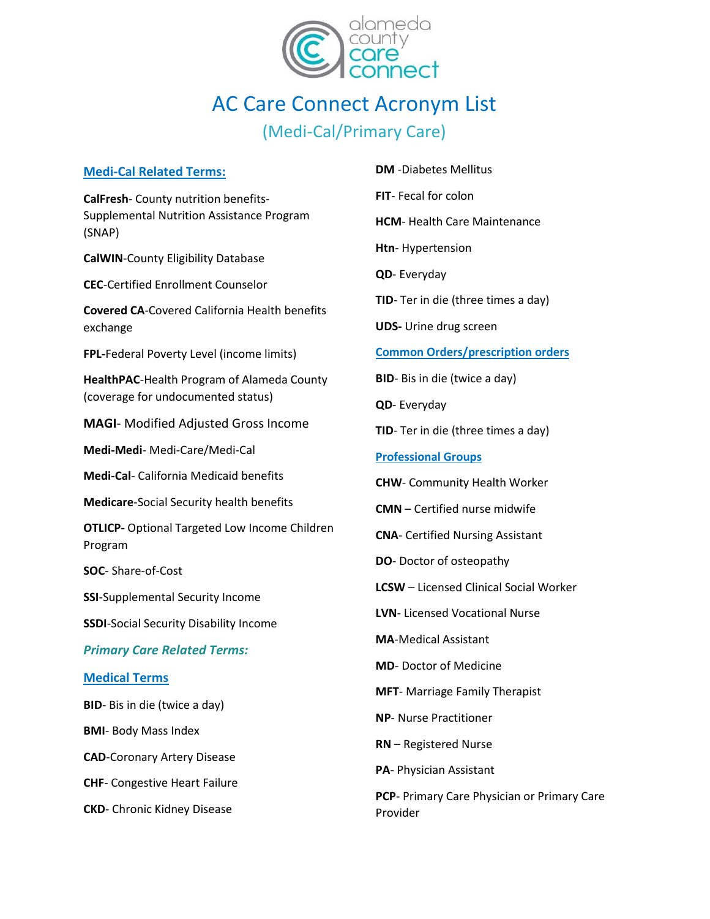

# AC Care Connect Acronym List (Medi-Cal/Primary Care)

# **Medi-Cal Related Terms:**

**CalFresh**- County nutrition benefits-Supplemental Nutrition Assistance Program (SNAP)

**CalWIN**-County Eligibility Database

**CEC**-Certified Enrollment Counselor

**Covered CA**-Covered California Health benefits exchange

**FPL-**Federal Poverty Level (income limits)

**HealthPAC**-Health Program of Alameda County (coverage for undocumented status)

**MAGI**- Modified Adjusted Gross Income

**Medi-Medi**- Medi-Care/Medi-Cal

**Medi-Cal**- California Medicaid benefits

**Medicare**-Social Security health benefits

**OTLICP-** Optional Targeted Low Income Children Program

**SOC**- Share-of-Cost

**SSI**-Supplemental Security Income

**SSDI**-Social Security Disability Income

*Primary Care Related Terms:* 

## **Medical Terms**

**BID**- Bis in die (twice a day)

**BMI**- Body Mass Index

**CAD**-Coronary Artery Disease

**CHF**- Congestive Heart Failure

**CKD**- Chronic Kidney Disease

**DM** -Diabetes Mellitus

**FIT**- Fecal for colon

**HCM**- Health Care Maintenance

**Htn**- Hypertension

**QD**- Everyday

**TID**- Ter in die (three times a day)

**UDS-** Urine drug screen

## **Common Orders/prescription orders**

**BID**- Bis in die (twice a day)

**QD**- Everyday

**TID**- Ter in die (three times a day)

**Professional Groups**

**CHW**- Community Health Worker

**CMN** – Certified nurse midwife

**CNA**- Certified Nursing Assistant

**DO**- Doctor of osteopathy

**LCSW** – Licensed Clinical Social Worker

**LVN**- Licensed Vocational Nurse

**MA**-Medical Assistant

**MD**- Doctor of Medicine

**MFT**- Marriage Family Therapist

**NP**- Nurse Practitioner

**RN** – Registered Nurse

**PA**- Physician Assistant

**PCP**- Primary Care Physician or Primary Care Provider